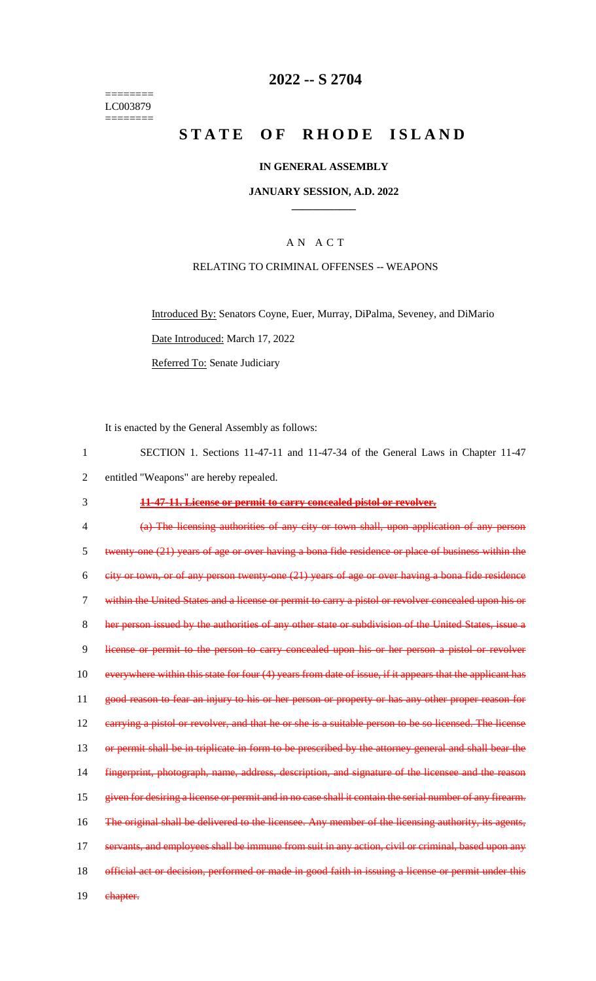======== LC003879  $=$ 

## **2022 -- S 2704**

# **STATE OF RHODE ISLAND**

### **IN GENERAL ASSEMBLY**

#### **JANUARY SESSION, A.D. 2022 \_\_\_\_\_\_\_\_\_\_\_\_**

## A N A C T

### RELATING TO CRIMINAL OFFENSES -- WEAPONS

Introduced By: Senators Coyne, Euer, Murray, DiPalma, Seveney, and DiMario Date Introduced: March 17, 2022 Referred To: Senate Judiciary

It is enacted by the General Assembly as follows:

| 1              | SECTION 1. Sections 11-47-11 and 11-47-34 of the General Laws in Chapter 11-47                           |
|----------------|----------------------------------------------------------------------------------------------------------|
| $\overline{2}$ | entitled "Weapons" are hereby repealed.                                                                  |
| 3              | 11-47-11. License or permit to carry concealed pistol or revolver.                                       |
| 4              | (a) The licensing authorities of any city or town shall, upon application of any person                  |
| 5              | twenty one (21) years of age or over having a bona fide residence or place of business within the        |
| 6              | $e$ ity or town, or of any person twenty-one $(21)$ years of age or over having a bona fide residence    |
| 7              | within the United States and a license or permit to carry a pistol or revolver concealed upon his or     |
| 8              | her person issued by the authorities of any other state or subdivision of the United States, issue a     |
| 9              | license or permit to the person to carry concealed upon his or her person a pistol or revolver           |
| 10             | everywhere within this state for four (4) years from date of issue, if it appears that the applicant has |
| 11             | good reason to fear an injury to his or her person or property or has any other proper reason for        |
| 12             | earrying a pistol or revolver, and that he or she is a suitable person to be so licensed. The license    |
| 13             | or permit shall be in triplicate in form to be prescribed by the attorney general and shall bear the     |
| 14             | fingerprint, photograph, name, address, description, and signature of the licensee and the reason        |
| 15             | given for desiring a license or permit and in no case shall it contain the serial number of any firearm. |
| 16             | The original shall be delivered to the licensee. Any member of the licensing authority, its agents,      |
| 17             | servants, and employees shall be immune from suit in any action, civil or criminal, based upon any       |
| 18             | official act or decision, performed or made in good faith in issuing a license or permit under this      |
| 19             | chapter.                                                                                                 |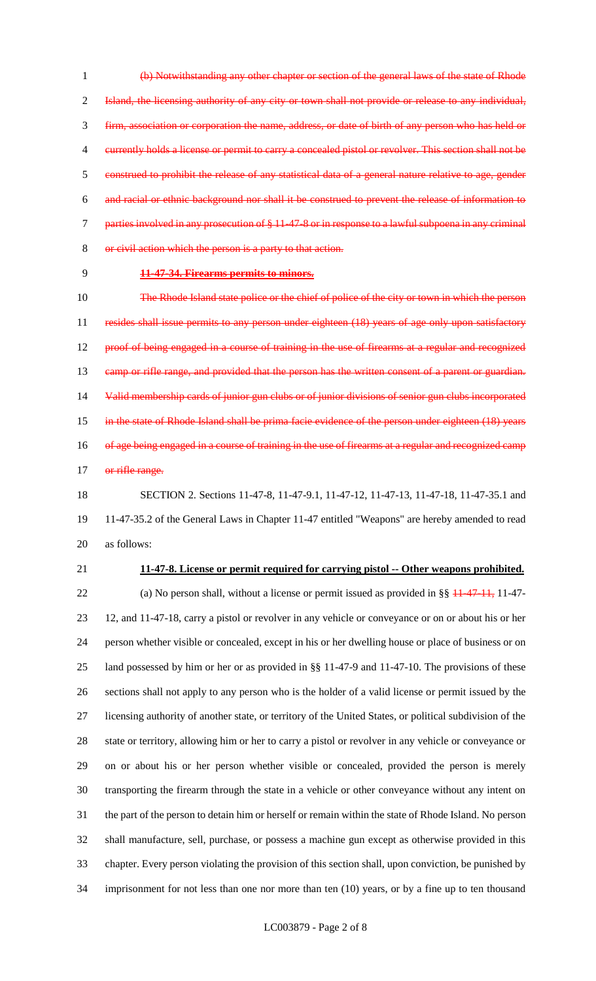(b) Notwithstanding any other chapter or section of the general laws of the state of Rhode Island, the licensing authority of any city or town shall not provide or release to any individual, firm, association or corporation the name, address, or date of birth of any person who has held or currently holds a license or permit to carry a concealed pistol or revolver. This section shall not be construed to prohibit the release of any statistical data of a general nature relative to age, gender and racial or ethnic background nor shall it be construed to prevent the release of information to parties involved in any prosecution of § 11-47-8 or in response to a lawful subpoena in any criminal or civil action which the person is a party to that action.

#### **11-47-34. Firearms permits to minors.**

 The Rhode Island state police or the chief of police of the city or town in which the person 11 resides shall issue permits to any person under eighteen (18) years of age only upon satisfactory proof of being engaged in a course of training in the use of firearms at a regular and recognized 13 camp or rifle range, and provided that the person has the written consent of a parent or guardian. Valid membership cards of junior gun clubs or of junior divisions of senior gun clubs incorporated in the state of Rhode Island shall be prima facie evidence of the person under eighteen (18) years 16 of age being engaged in a course of training in the use of firearms at a regular and recognized camp 17 or rifle range.

 SECTION 2. Sections 11-47-8, 11-47-9.1, 11-47-12, 11-47-13, 11-47-18, 11-47-35.1 and 11-47-35.2 of the General Laws in Chapter 11-47 entitled "Weapons" are hereby amended to read as follows:

#### **11-47-8. License or permit required for carrying pistol -- Other weapons prohibited.**

22 (a) No person shall, without a license or permit issued as provided in §§  $\frac{11-47-11}{11-47-11}$ , 11-47- 12, and 11-47-18, carry a pistol or revolver in any vehicle or conveyance or on or about his or her person whether visible or concealed, except in his or her dwelling house or place of business or on land possessed by him or her or as provided in §§ 11-47-9 and 11-47-10. The provisions of these sections shall not apply to any person who is the holder of a valid license or permit issued by the licensing authority of another state, or territory of the United States, or political subdivision of the state or territory, allowing him or her to carry a pistol or revolver in any vehicle or conveyance or on or about his or her person whether visible or concealed, provided the person is merely transporting the firearm through the state in a vehicle or other conveyance without any intent on the part of the person to detain him or herself or remain within the state of Rhode Island. No person shall manufacture, sell, purchase, or possess a machine gun except as otherwise provided in this chapter. Every person violating the provision of this section shall, upon conviction, be punished by imprisonment for not less than one nor more than ten (10) years, or by a fine up to ten thousand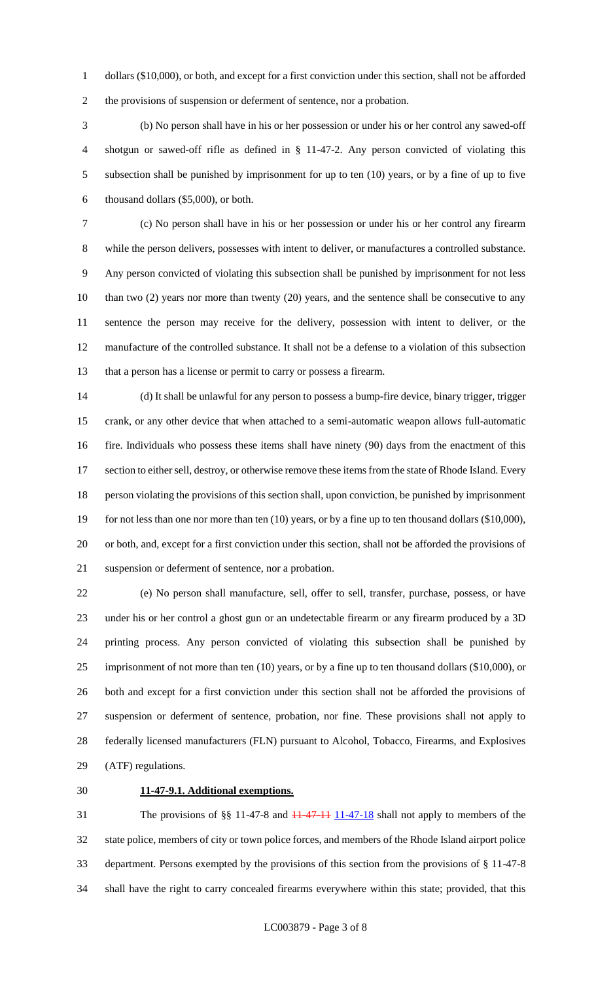dollars (\$10,000), or both, and except for a first conviction under this section, shall not be afforded the provisions of suspension or deferment of sentence, nor a probation.

 (b) No person shall have in his or her possession or under his or her control any sawed-off shotgun or sawed-off rifle as defined in § 11-47-2. Any person convicted of violating this subsection shall be punished by imprisonment for up to ten (10) years, or by a fine of up to five thousand dollars (\$5,000), or both.

 (c) No person shall have in his or her possession or under his or her control any firearm while the person delivers, possesses with intent to deliver, or manufactures a controlled substance. Any person convicted of violating this subsection shall be punished by imprisonment for not less 10 than two (2) years nor more than twenty (20) years, and the sentence shall be consecutive to any sentence the person may receive for the delivery, possession with intent to deliver, or the manufacture of the controlled substance. It shall not be a defense to a violation of this subsection that a person has a license or permit to carry or possess a firearm.

 (d) It shall be unlawful for any person to possess a bump-fire device, binary trigger, trigger crank, or any other device that when attached to a semi-automatic weapon allows full-automatic fire. Individuals who possess these items shall have ninety (90) days from the enactment of this 17 section to either sell, destroy, or otherwise remove these items from the state of Rhode Island. Every person violating the provisions of this section shall, upon conviction, be punished by imprisonment 19 for not less than one nor more than ten (10) years, or by a fine up to ten thousand dollars (\$10,000), or both, and, except for a first conviction under this section, shall not be afforded the provisions of suspension or deferment of sentence, nor a probation.

 (e) No person shall manufacture, sell, offer to sell, transfer, purchase, possess, or have under his or her control a ghost gun or an undetectable firearm or any firearm produced by a 3D printing process. Any person convicted of violating this subsection shall be punished by 25 imprisonment of not more than ten (10) years, or by a fine up to ten thousand dollars (\$10,000), or both and except for a first conviction under this section shall not be afforded the provisions of suspension or deferment of sentence, probation, nor fine. These provisions shall not apply to federally licensed manufacturers (FLN) pursuant to Alcohol, Tobacco, Firearms, and Explosives (ATF) regulations.

#### **11-47-9.1. Additional exemptions.**

31 The provisions of §§ 11-47-8 and <del>11-47-11</del> 11-47-18 shall not apply to members of the state police, members of city or town police forces, and members of the Rhode Island airport police department. Persons exempted by the provisions of this section from the provisions of § 11-47-8 shall have the right to carry concealed firearms everywhere within this state; provided, that this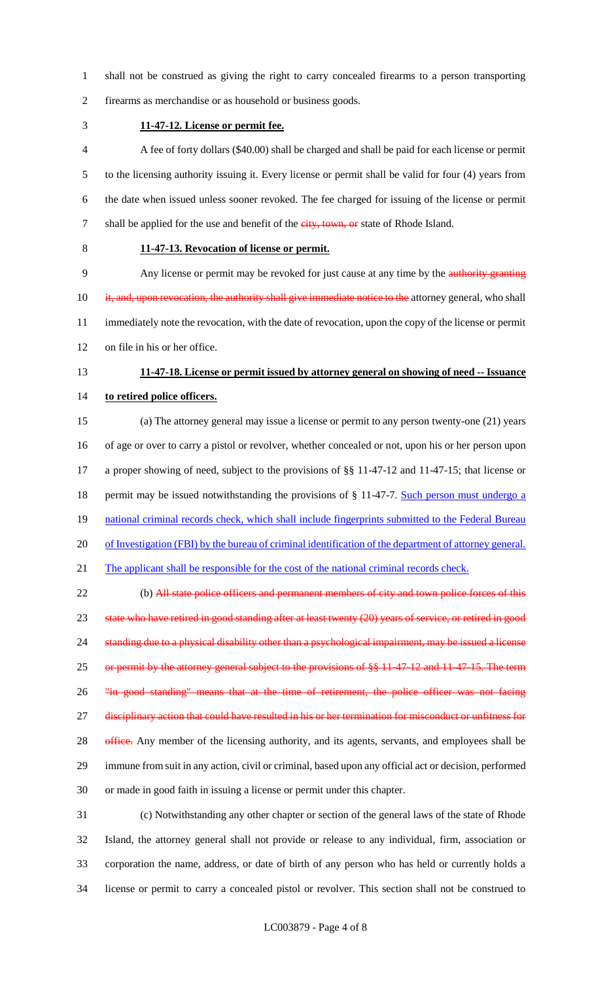- shall not be construed as giving the right to carry concealed firearms to a person transporting
- firearms as merchandise or as household or business goods.
- **11-47-12. License or permit fee.**

 A fee of forty dollars (\$40.00) shall be charged and shall be paid for each license or permit to the licensing authority issuing it. Every license or permit shall be valid for four (4) years from the date when issued unless sooner revoked. The fee charged for issuing of the license or permit 7 shall be applied for the use and benefit of the city, town, or state of Rhode Island.

## **11-47-13. Revocation of license or permit.**

 Any license or permit may be revoked for just cause at any time by the authority granting 10 it, and, upon revocation, the authority shall give immediate notice to the attorney general, who shall immediately note the revocation, with the date of revocation, upon the copy of the license or permit on file in his or her office.

# **11-47-18. License or permit issued by attorney general on showing of need -- Issuance**

**to retired police officers.**

 (a) The attorney general may issue a license or permit to any person twenty-one (21) years of age or over to carry a pistol or revolver, whether concealed or not, upon his or her person upon a proper showing of need, subject to the provisions of §§ 11-47-12 and 11-47-15; that license or 18 permit may be issued notwithstanding the provisions of § 11-47-7. Such person must undergo a 19 national criminal records check, which shall include fingerprints submitted to the Federal Bureau of Investigation (FBI) by the bureau of criminal identification of the department of attorney general. 21 The applicant shall be responsible for the cost of the national criminal records check.

22 (b) All state police officers and permanent members of city and town police forces of this 23 state who have retired in good standing after at least twenty (20) years of service, or retired in good standing due to a physical disability other than a psychological impairment, may be issued a license 25 or permit by the attorney general subject to the provisions of §§ 11 47 12 and 11 47 15. The term 26 "in good standing" means that at the time of retirement, the police officer was not facing 27 disciplinary action that could have resulted in his or her termination for misconduct or unfitness for 28 office. Any member of the licensing authority, and its agents, servants, and employees shall be immune from suit in any action, civil or criminal, based upon any official act or decision, performed or made in good faith in issuing a license or permit under this chapter.

 (c) Notwithstanding any other chapter or section of the general laws of the state of Rhode Island, the attorney general shall not provide or release to any individual, firm, association or corporation the name, address, or date of birth of any person who has held or currently holds a license or permit to carry a concealed pistol or revolver. This section shall not be construed to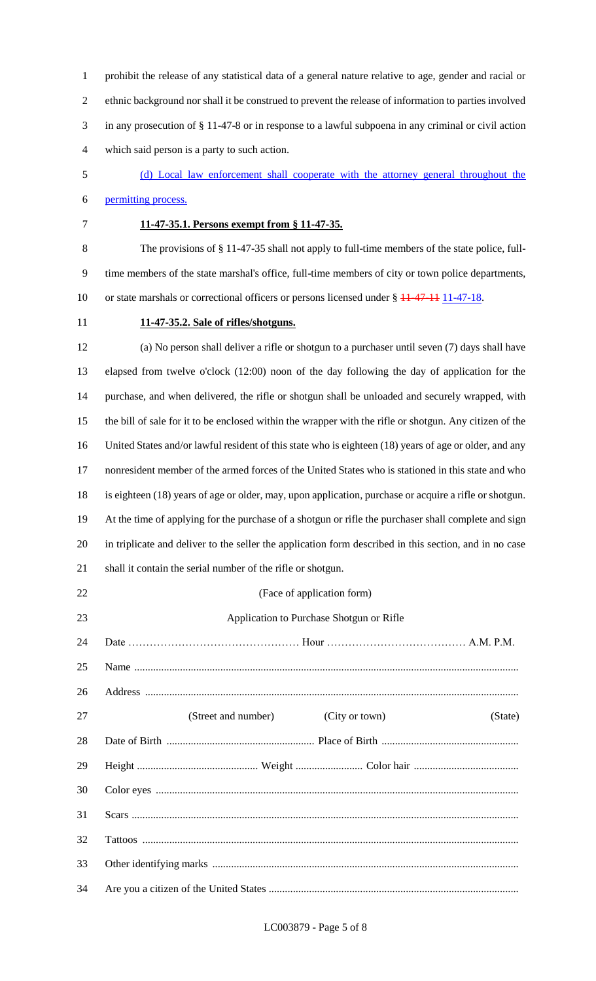prohibit the release of any statistical data of a general nature relative to age, gender and racial or ethnic background nor shall it be construed to prevent the release of information to parties involved in any prosecution of § 11-47-8 or in response to a lawful subpoena in any criminal or civil action which said person is a party to such action.

- (d) Local law enforcement shall cooperate with the attorney general throughout the permitting process.
- 

## **11-47-35.1. Persons exempt from § 11-47-35.**

 The provisions of § 11-47-35 shall not apply to full-time members of the state police, full- time members of the state marshal's office, full-time members of city or town police departments, 10 or state marshals or correctional officers or persons licensed under § 11-47-11 11-47-18.

#### **11-47-35.2. Sale of rifles/shotguns.**

 (a) No person shall deliver a rifle or shotgun to a purchaser until seven (7) days shall have elapsed from twelve o'clock (12:00) noon of the day following the day of application for the purchase, and when delivered, the rifle or shotgun shall be unloaded and securely wrapped, with the bill of sale for it to be enclosed within the wrapper with the rifle or shotgun. Any citizen of the United States and/or lawful resident of this state who is eighteen (18) years of age or older, and any nonresident member of the armed forces of the United States who is stationed in this state and who is eighteen (18) years of age or older, may, upon application, purchase or acquire a rifle or shotgun. At the time of applying for the purchase of a shotgun or rifle the purchaser shall complete and sign in triplicate and deliver to the seller the application form described in this section, and in no case shall it contain the serial number of the rifle or shotgun.

| 22 | (Face of application form)                       |
|----|--------------------------------------------------|
| 23 | Application to Purchase Shotgun or Rifle         |
| 24 |                                                  |
| 25 |                                                  |
| 26 |                                                  |
| 27 | (Street and number)<br>(City or town)<br>(State) |
| 28 |                                                  |
| 29 |                                                  |
| 30 |                                                  |
| 31 |                                                  |
| 32 |                                                  |
| 33 |                                                  |
| 34 |                                                  |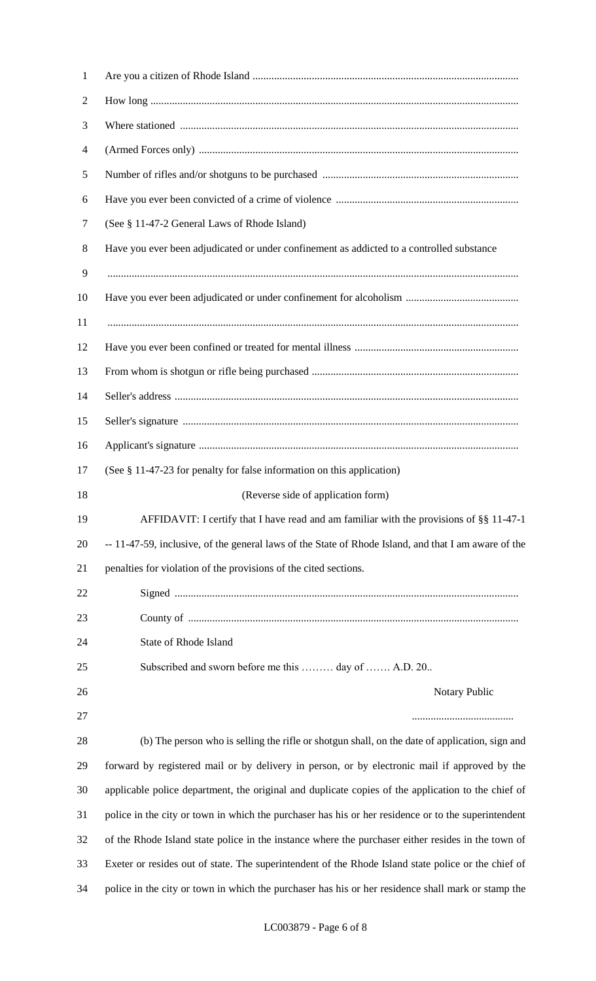| $\mathbf{1}$   |                                                                                                      |
|----------------|------------------------------------------------------------------------------------------------------|
| $\overline{2}$ |                                                                                                      |
| 3              |                                                                                                      |
| $\overline{4}$ |                                                                                                      |
| 5              |                                                                                                      |
| 6              |                                                                                                      |
| 7              | (See § 11-47-2 General Laws of Rhode Island)                                                         |
| 8              | Have you ever been adjudicated or under confinement as addicted to a controlled substance            |
| 9              |                                                                                                      |
| 10             |                                                                                                      |
| 11             |                                                                                                      |
| 12             |                                                                                                      |
| 13             |                                                                                                      |
| 14             |                                                                                                      |
| 15             |                                                                                                      |
| 16             |                                                                                                      |
| 17             | (See § 11-47-23 for penalty for false information on this application)                               |
| 18             | (Reverse side of application form)                                                                   |
| 19             | AFFIDAVIT: I certify that I have read and am familiar with the provisions of §§ 11-47-1              |
| 20             | -- 11-47-59, inclusive, of the general laws of the State of Rhode Island, and that I am aware of the |
| 21             | penalties for violation of the provisions of the cited sections.                                     |
| 22             |                                                                                                      |
| 23             |                                                                                                      |
| 24             | State of Rhode Island                                                                                |
| 25             | Subscribed and sworn before me this  day of  A.D. 20                                                 |
| 26             | Notary Public                                                                                        |
| 27             |                                                                                                      |
| 28             | (b) The person who is selling the rifle or shotgun shall, on the date of application, sign and       |
| 29             | forward by registered mail or by delivery in person, or by electronic mail if approved by the        |
| 30             | applicable police department, the original and duplicate copies of the application to the chief of   |
| 31             | police in the city or town in which the purchaser has his or her residence or to the superintendent  |
| 32             | of the Rhode Island state police in the instance where the purchaser either resides in the town of   |
| 33             | Exeter or resides out of state. The superintendent of the Rhode Island state police or the chief of  |
| 34             | police in the city or town in which the purchaser has his or her residence shall mark or stamp the   |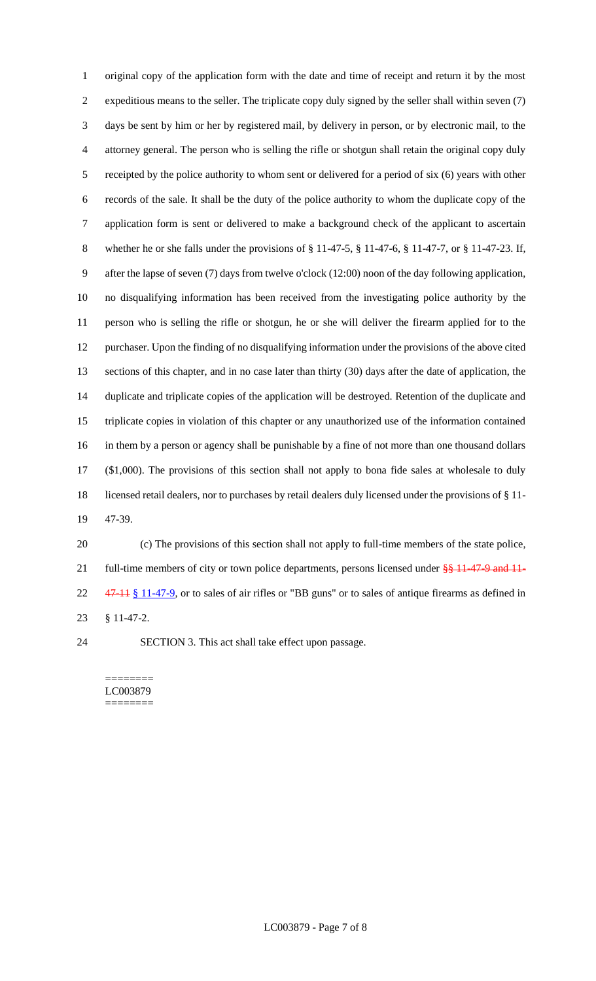original copy of the application form with the date and time of receipt and return it by the most expeditious means to the seller. The triplicate copy duly signed by the seller shall within seven (7) days be sent by him or her by registered mail, by delivery in person, or by electronic mail, to the attorney general. The person who is selling the rifle or shotgun shall retain the original copy duly receipted by the police authority to whom sent or delivered for a period of six (6) years with other records of the sale. It shall be the duty of the police authority to whom the duplicate copy of the application form is sent or delivered to make a background check of the applicant to ascertain whether he or she falls under the provisions of § 11-47-5, § 11-47-6, § 11-47-7, or § 11-47-23. If, after the lapse of seven (7) days from twelve o'clock (12:00) noon of the day following application, no disqualifying information has been received from the investigating police authority by the person who is selling the rifle or shotgun, he or she will deliver the firearm applied for to the purchaser. Upon the finding of no disqualifying information under the provisions of the above cited sections of this chapter, and in no case later than thirty (30) days after the date of application, the duplicate and triplicate copies of the application will be destroyed. Retention of the duplicate and triplicate copies in violation of this chapter or any unauthorized use of the information contained in them by a person or agency shall be punishable by a fine of not more than one thousand dollars (\$1,000). The provisions of this section shall not apply to bona fide sales at wholesale to duly licensed retail dealers, nor to purchases by retail dealers duly licensed under the provisions of § 11- 47-39.

 (c) The provisions of this section shall not apply to full-time members of the state police, 21 full-time members of city or town police departments, persons licensed under  $\frac{88}{311}$ -47-9 and 11-22 47-11 § 11-47-9, or to sales of air rifles or "BB guns" or to sales of antique firearms as defined in § 11-47-2.

SECTION 3. This act shall take effect upon passage.

======== LC003879 ========